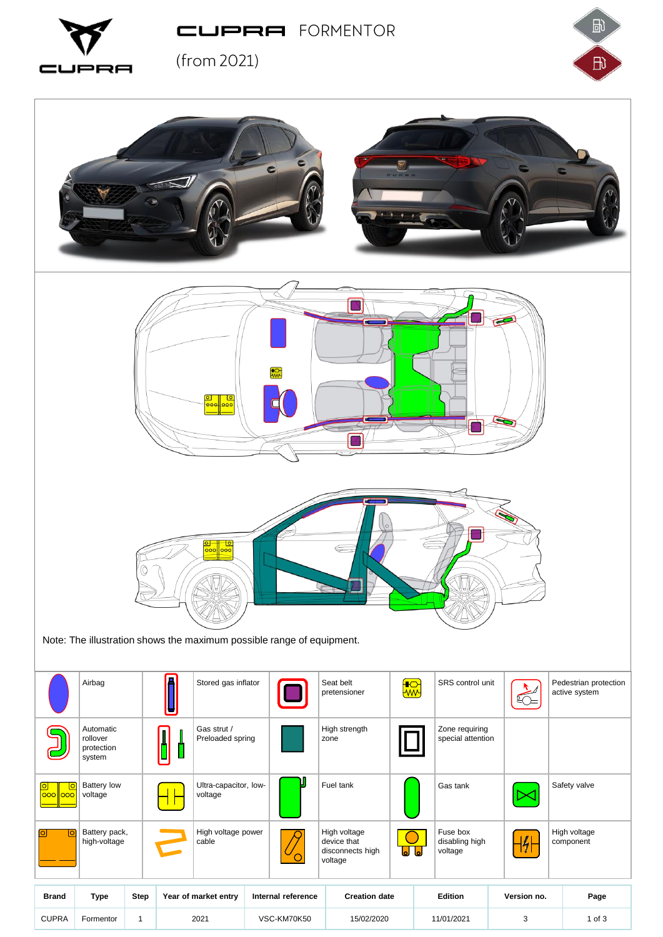PRA  $\square$ LJF

CUPRA FORMENTOR





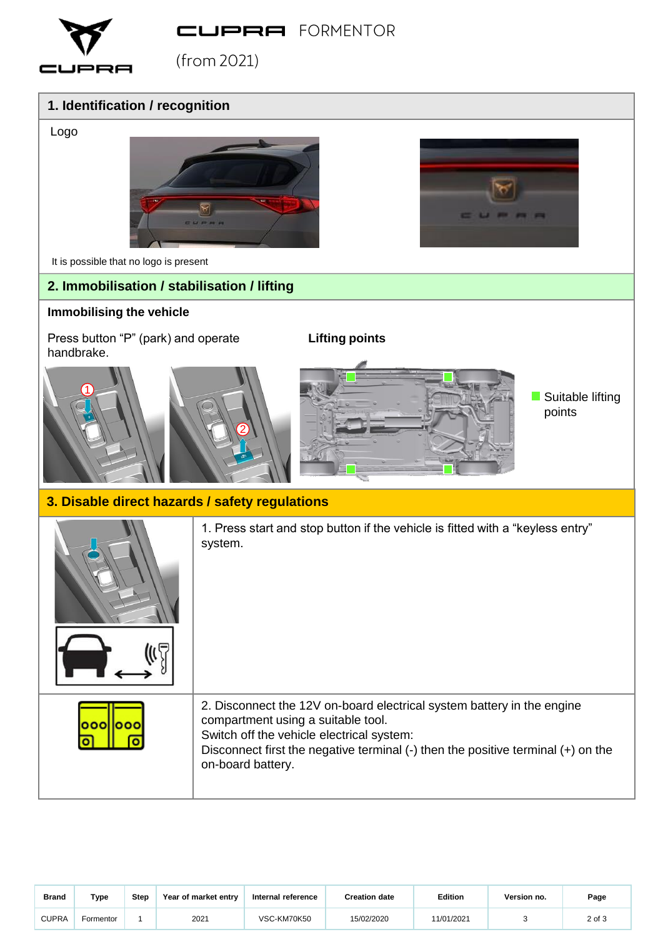CUPRA FORMENTOR



 $(from 2021)$ 

## **1. Identification / recognition**



## **3. Disable direct hazards / safety regulations**

|           | 1. Press start and stop button if the vehicle is fitted with a "keyless entry"<br>system.                                                                                                                                                                              |
|-----------|------------------------------------------------------------------------------------------------------------------------------------------------------------------------------------------------------------------------------------------------------------------------|
| 1000<br>ೲ | 2. Disconnect the 12V on-board electrical system battery in the engine<br>compartment using a suitable tool.<br>Switch off the vehicle electrical system:<br>Disconnect first the negative terminal $(-)$ then the positive terminal $(+)$ on the<br>on-board battery. |

| <b>Brand</b> | Type      | <b>Step</b> | Year of market entry | Internal reference | <b>Creation date</b> | <b>Edition</b> | Version no. | Page   |
|--------------|-----------|-------------|----------------------|--------------------|----------------------|----------------|-------------|--------|
| <b>CUPRA</b> | Formentor |             | 2021                 | VSC-KM70K50        | 15/02/2020           | 11/01/2021     |             | 2 of 3 |